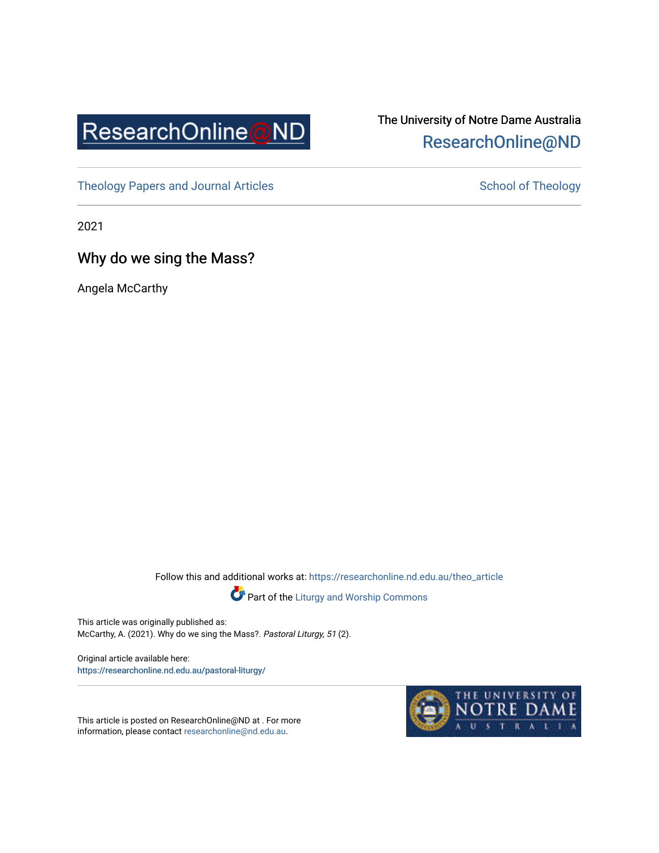

# The University of Notre Dame Australia [ResearchOnline@ND](https://researchonline.nd.edu.au/)

[Theology Papers and Journal Articles](https://researchonline.nd.edu.au/theo_article) [School of Theology](https://researchonline.nd.edu.au/theo) School of Theology

2021

Why do we sing the Mass?

Angela McCarthy

Follow this and additional works at: [https://researchonline.nd.edu.au/theo\\_article](https://researchonline.nd.edu.au/theo_article?utm_source=researchonline.nd.edu.au%2Ftheo_article%2F214&utm_medium=PDF&utm_campaign=PDFCoverPages) 



Part of the [Liturgy and Worship Commons](http://network.bepress.com/hgg/discipline/1188?utm_source=researchonline.nd.edu.au%2Ftheo_article%2F214&utm_medium=PDF&utm_campaign=PDFCoverPages) 

This article was originally published as: McCarthy, A. (2021). Why do we sing the Mass?. Pastoral Liturgy, 51 (2).

Original article available here: [https://researchonline.nd.edu.au/past](https://researchonline.nd.edu.au/pastoral-liturgy/)oral-liturgy/

This article is posted on ResearchOnline@ND at . For more information, please contact [researchonline@nd.edu.au.](mailto:researchonline@nd.edu.au)

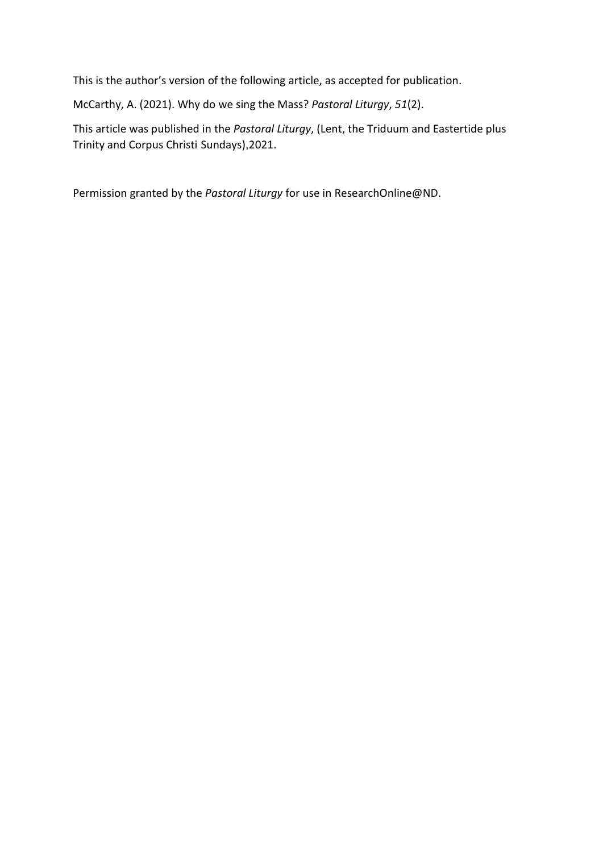This is the author's version of the following article, as accepted for publication.

McCarthy, A. (2021). Why do we sing the Mass? *Pastoral Liturgy*, *51*(2).

This article was published in the *Pastoral Liturgy*, (Lent, the Triduum and Eastertide plus Trinity and Corpus Christi Sundays),2021.

Permission granted by the *Pastoral Liturgy* for use in ResearchOnline@ND.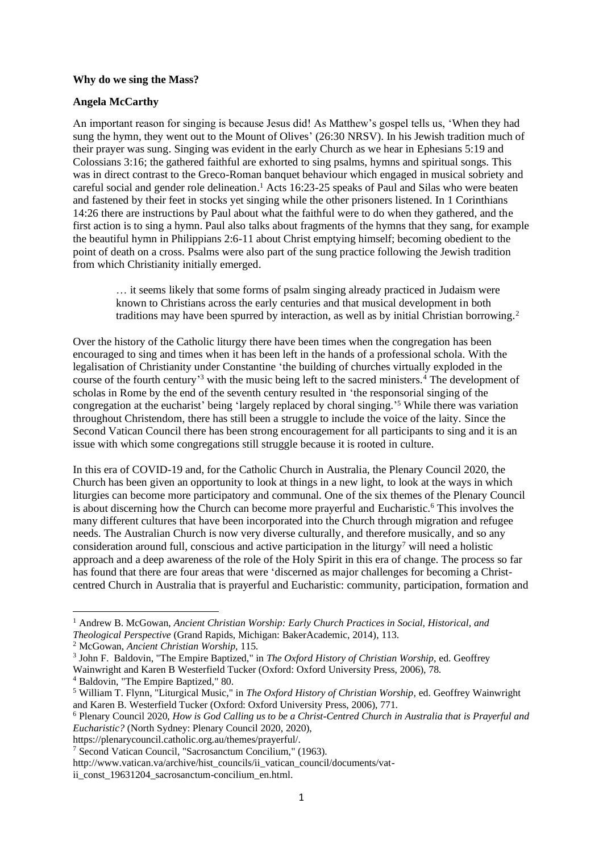#### **Why do we sing the Mass?**

## **Angela McCarthy**

An important reason for singing is because Jesus did! As Matthew's gospel tells us, 'When they had sung the hymn, they went out to the Mount of Olives' (26:30 NRSV). In his Jewish tradition much of their prayer was sung. Singing was evident in the early Church as we hear in Ephesians 5:19 and Colossians 3:16; the gathered faithful are exhorted to sing psalms, hymns and spiritual songs. This was in direct contrast to the Greco-Roman banquet behaviour which engaged in musical sobriety and careful social and gender role delineation. <sup>1</sup> Acts 16:23-25 speaks of Paul and Silas who were beaten and fastened by their feet in stocks yet singing while the other prisoners listened. In 1 Corinthians 14:26 there are instructions by Paul about what the faithful were to do when they gathered, and the first action is to sing a hymn. Paul also talks about fragments of the hymns that they sang, for example the beautiful hymn in Philippians 2:6-11 about Christ emptying himself; becoming obedient to the point of death on a cross. Psalms were also part of the sung practice following the Jewish tradition from which Christianity initially emerged.

… it seems likely that some forms of psalm singing already practiced in Judaism were known to Christians across the early centuries and that musical development in both traditions may have been spurred by interaction, as well as by initial Christian borrowing.<sup>2</sup>

Over the history of the Catholic liturgy there have been times when the congregation has been encouraged to sing and times when it has been left in the hands of a professional schola. With the legalisation of Christianity under Constantine 'the building of churches virtually exploded in the course of the fourth century'<sup>3</sup> with the music being left to the sacred ministers.<sup>4</sup> The development of scholas in Rome by the end of the seventh century resulted in 'the responsorial singing of the congregation at the eucharist' being 'largely replaced by choral singing.' <sup>5</sup> While there was variation throughout Christendom, there has still been a struggle to include the voice of the laity. Since the Second Vatican Council there has been strong encouragement for all participants to sing and it is an issue with which some congregations still struggle because it is rooted in culture.

In this era of COVID-19 and, for the Catholic Church in Australia, the Plenary Council 2020, the Church has been given an opportunity to look at things in a new light, to look at the ways in which liturgies can become more participatory and communal. One of the six themes of the Plenary Council is about discerning how the Church can become more prayerful and Eucharistic.<sup>6</sup> This involves the many different cultures that have been incorporated into the Church through migration and refugee needs. The Australian Church is now very diverse culturally, and therefore musically, and so any consideration around full, conscious and active participation in the liturgy<sup>7</sup> will need a holistic approach and a deep awareness of the role of the Holy Spirit in this era of change. The process so far has found that there are four areas that were 'discerned as major challenges for becoming a Christcentred Church in Australia that is prayerful and Eucharistic: community, participation, formation and

<sup>1</sup> Andrew B. McGowan, *Ancient Christian Worship: Early Church Practices in Social, Historical, and Theological Perspective* (Grand Rapids, Michigan: BakerAcademic, 2014), 113.

<sup>2</sup> McGowan, *Ancient Christian Worship*, 115.

<sup>3</sup> John F. Baldovin, "The Empire Baptized," in *The Oxford History of Christian Worship*, ed. Geoffrey

Wainwright and Karen B Westerfield Tucker (Oxford: Oxford University Press, 2006), 78.

<sup>4</sup> Baldovin, "The Empire Baptized," 80.

<sup>5</sup> William T. Flynn, "Liturgical Music," in *The Oxford History of Christian Worship*, ed. Geoffrey Wainwright and Karen B. Westerfield Tucker (Oxford: Oxford University Press, 2006), 771.

<sup>6</sup> Plenary Council 2020, *How is God Calling us to be a Christ-Centred Church in Australia that is Prayerful and Eucharistic?* (North Sydney: Plenary Council 2020, 2020),

https://plenarycouncil.catholic.org.au/themes/prayerful/.

<sup>7</sup> Second Vatican Council, "Sacrosanctum Concilium," (1963).

http://www.vatican.va/archive/hist\_councils/ii\_vatican\_council/documents/vat-

ii\_const\_19631204\_sacrosanctum-concilium\_en.html.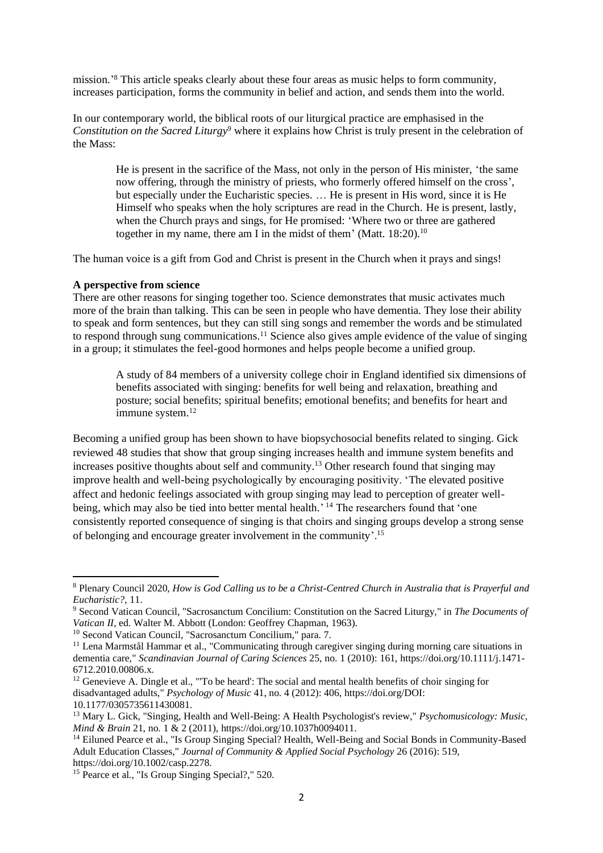mission.' <sup>8</sup> This article speaks clearly about these four areas as music helps to form community, increases participation, forms the community in belief and action, and sends them into the world.

In our contemporary world, the biblical roots of our liturgical practice are emphasised in the *Constitution on the Sacred Liturgy*<sup>9</sup> where it explains how Christ is truly present in the celebration of the Mass:

He is present in the sacrifice of the Mass, not only in the person of His minister, 'the same now offering, through the ministry of priests, who formerly offered himself on the cross', but especially under the Eucharistic species. … He is present in His word, since it is He Himself who speaks when the holy scriptures are read in the Church. He is present, lastly, when the Church prays and sings, for He promised: 'Where two or three are gathered together in my name, there am I in the midst of them' (Matt. 18:20).<sup>10</sup>

The human voice is a gift from God and Christ is present in the Church when it prays and sings!

#### **A perspective from science**

There are other reasons for singing together too. Science demonstrates that music activates much more of the brain than talking. This can be seen in people who have dementia. They lose their ability to speak and form sentences, but they can still sing songs and remember the words and be stimulated to respond through sung communications.<sup>11</sup> Science also gives ample evidence of the value of singing in a group; it stimulates the feel-good hormones and helps people become a unified group.

A study of 84 members of a university college choir in England identified six dimensions of benefits associated with singing: benefits for well being and relaxation, breathing and posture; social benefits; spiritual benefits; emotional benefits; and benefits for heart and immune system. 12

Becoming a unified group has been shown to have biopsychosocial benefits related to singing. Gick reviewed 48 studies that show that group singing increases health and immune system benefits and increases positive thoughts about self and community.<sup>13</sup> Other research found that singing may improve health and well-being psychologically by encouraging positivity. 'The elevated positive affect and hedonic feelings associated with group singing may lead to perception of greater wellbeing, which may also be tied into better mental health.<sup>'14</sup> The researchers found that 'one consistently reported consequence of singing is that choirs and singing groups develop a strong sense of belonging and encourage greater involvement in the community'.<sup>15</sup>

<sup>8</sup> Plenary Council 2020, *How is God Calling us to be a Christ-Centred Church in Australia that is Prayerful and Eucharistic?*, 11.

<sup>9</sup> Second Vatican Council, "Sacrosanctum Concilium: Constitution on the Sacred Liturgy," in *The Documents of Vatican II*, ed. Walter M. Abbott (London: Geoffrey Chapman, 1963).

<sup>10</sup> Second Vatican Council, "Sacrosanctum Concilium," para. 7.

<sup>&</sup>lt;sup>11</sup> Lena Marmstål Hammar et al., "Communicating through caregiver singing during morning care situations in dementia care," *Scandinavian Journal of Caring Sciences* 25, no. 1 (2010): 161, https://doi.org/10.1111/j.1471- 6712.2010.00806.x.

<sup>&</sup>lt;sup>12</sup> Genevieve A. Dingle et al., "To be heard': The social and mental health benefits of choir singing for disadvantaged adults," *Psychology of Music* 41, no. 4 (2012): 406, https://doi.org/DOI: 10.1177/0305735611430081.

<sup>13</sup> Mary L. Gick, "Singing, Health and Well-Being: A Health Psychologist's review," *Psychomusicology: Music, Mind & Brain* 21, no. 1 & 2 (2011), https://doi.org/10.1037h0094011.

<sup>&</sup>lt;sup>14</sup> Eiluned Pearce et al., "Is Group Singing Special? Health, Well-Being and Social Bonds in Community-Based Adult Education Classes," *Journal of Community & Applied Social Psychology* 26 (2016): 519, https://doi.org/10.1002/casp.2278.

<sup>&</sup>lt;sup>15</sup> Pearce et al., "Is Group Singing Special?," 520.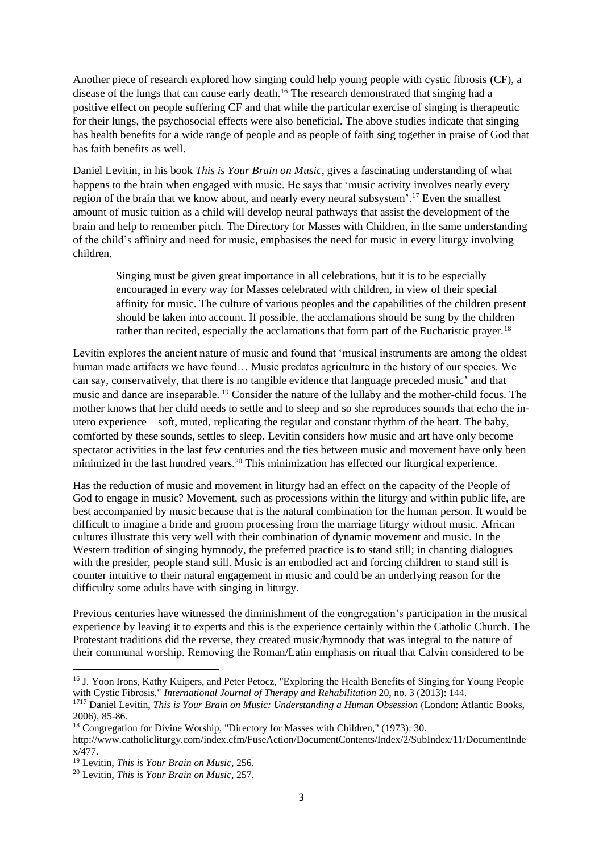Another piece of research explored how singing could help young people with cystic fibrosis (CF), a disease of the lungs that can cause early death.<sup>16</sup> The research demonstrated that singing had a positive effect on people suffering CF and that while the particular exercise of singing is therapeutic for their lungs, the psychosocial effects were also beneficial. The above studies indicate that singing has health benefits for a wide range of people and as people of faith sing together in praise of God that has faith benefits as well.

Daniel Levitin, in his book *This is Your Brain on Music*, gives a fascinating understanding of what happens to the brain when engaged with music. He says that 'music activity involves nearly every region of the brain that we know about, and nearly every neural subsystem'. <sup>17</sup> Even the smallest amount of music tuition as a child will develop neural pathways that assist the development of the brain and help to remember pitch. The Directory for Masses with Children, in the same understanding of the child's affinity and need for music, emphasises the need for music in every liturgy involving children.

Singing must be given great importance in all celebrations, but it is to be especially encouraged in every way for Masses celebrated with children, in view of their special affinity for music. The culture of various peoples and the capabilities of the children present should be taken into account. If possible, the acclamations should be sung by the children rather than recited, especially the acclamations that form part of the Eucharistic prayer.<sup>18</sup>

Levitin explores the ancient nature of music and found that 'musical instruments are among the oldest human made artifacts we have found… Music predates agriculture in the history of our species. We can say, conservatively, that there is no tangible evidence that language preceded music' and that music and dance are inseparable. <sup>19</sup> Consider the nature of the lullaby and the mother-child focus. The mother knows that her child needs to settle and to sleep and so she reproduces sounds that echo the inutero experience – soft, muted, replicating the regular and constant rhythm of the heart. The baby, comforted by these sounds, settles to sleep. Levitin considers how music and art have only become spectator activities in the last few centuries and the ties between music and movement have only been minimized in the last hundred years.<sup>20</sup> This minimization has effected our liturgical experience.

Has the reduction of music and movement in liturgy had an effect on the capacity of the People of God to engage in music? Movement, such as processions within the liturgy and within public life, are best accompanied by music because that is the natural combination for the human person. It would be difficult to imagine a bride and groom processing from the marriage liturgy without music. African cultures illustrate this very well with their combination of dynamic movement and music. In the Western tradition of singing hymnody, the preferred practice is to stand still; in chanting dialogues with the presider, people stand still. Music is an embodied act and forcing children to stand still is counter intuitive to their natural engagement in music and could be an underlying reason for the difficulty some adults have with singing in liturgy.

Previous centuries have witnessed the diminishment of the congregation's participation in the musical experience by leaving it to experts and this is the experience certainly within the Catholic Church. The Protestant traditions did the reverse, they created music/hymnody that was integral to the nature of their communal worship. Removing the Roman/Latin emphasis on ritual that Calvin considered to be

<sup>&</sup>lt;sup>16</sup> J. Yoon Irons, Kathy Kuipers, and Peter Petocz, "Exploring the Health Benefits of Singing for Young People with Cystic Fibrosis," *International Journal of Therapy and Rehabilitation* 20, no. 3 (2013): 144.

<sup>1717</sup> Daniel Levitin, *This is Your Brain on Music: Understanding a Human Obsession* (London: Atlantic Books, 2006), 85-86.

<sup>18</sup> Congregation for Divine Worship, "Directory for Masses with Children," (1973): 30.

http://www.catholicliturgy.com/index.cfm/FuseAction/DocumentContents/Index/2/SubIndex/11/DocumentInde x/477.

<sup>19</sup> Levitin, *This is Your Brain on Music*, 256.

<sup>20</sup> Levitin, *This is Your Brain on Music*, 257.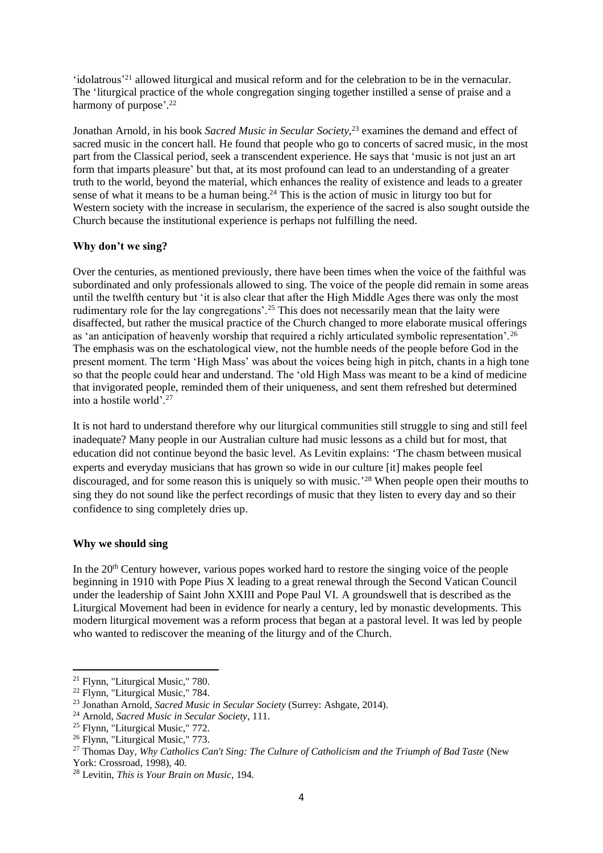'idolatrous'<sup>21</sup> allowed liturgical and musical reform and for the celebration to be in the vernacular. The 'liturgical practice of the whole congregation singing together instilled a sense of praise and a harmony of purpose'.<sup>22</sup>

Jonathan Arnold, in his book *Sacred Music in Secular Society*, <sup>23</sup> examines the demand and effect of sacred music in the concert hall. He found that people who go to concerts of sacred music, in the most part from the Classical period, seek a transcendent experience. He says that 'music is not just an art form that imparts pleasure' but that, at its most profound can lead to an understanding of a greater truth to the world, beyond the material, which enhances the reality of existence and leads to a greater sense of what it means to be a human being.<sup>24</sup> This is the action of music in liturgy too but for Western society with the increase in secularism, the experience of the sacred is also sought outside the Church because the institutional experience is perhaps not fulfilling the need.

## **Why don't we sing?**

Over the centuries, as mentioned previously, there have been times when the voice of the faithful was subordinated and only professionals allowed to sing. The voice of the people did remain in some areas until the twelfth century but 'it is also clear that after the High Middle Ages there was only the most rudimentary role for the lay congregations'.<sup>25</sup> This does not necessarily mean that the laity were disaffected, but rather the musical practice of the Church changed to more elaborate musical offerings as 'an anticipation of heavenly worship that required a richly articulated symbolic representation'.<sup>26</sup> The emphasis was on the eschatological view, not the humble needs of the people before God in the present moment. The term 'High Mass' was about the voices being high in pitch, chants in a high tone so that the people could hear and understand. The 'old High Mass was meant to be a kind of medicine that invigorated people, reminded them of their uniqueness, and sent them refreshed but determined into a hostile world'.<sup>27</sup>

It is not hard to understand therefore why our liturgical communities still struggle to sing and still feel inadequate? Many people in our Australian culture had music lessons as a child but for most, that education did not continue beyond the basic level. As Levitin explains: 'The chasm between musical experts and everyday musicians that has grown so wide in our culture [it] makes people feel discouraged, and for some reason this is uniquely so with music.' <sup>28</sup> When people open their mouths to sing they do not sound like the perfect recordings of music that they listen to every day and so their confidence to sing completely dries up.

## **Why we should sing**

In the  $20<sup>th</sup>$  Century however, various popes worked hard to restore the singing voice of the people beginning in 1910 with Pope Pius X leading to a great renewal through the Second Vatican Council under the leadership of Saint John XXIII and Pope Paul VI. A groundswell that is described as the Liturgical Movement had been in evidence for nearly a century, led by monastic developments. This modern liturgical movement was a reform process that began at a pastoral level. It was led by people who wanted to rediscover the meaning of the liturgy and of the Church.

<sup>21</sup> Flynn, "Liturgical Music," 780.

<sup>22</sup> Flynn, "Liturgical Music," 784.

<sup>23</sup> Jonathan Arnold, *Sacred Music in Secular Society* (Surrey: Ashgate, 2014).

<sup>24</sup> Arnold, *Sacred Music in Secular Society*, 111.

<sup>&</sup>lt;sup>25</sup> Flynn, "Liturgical Music," 772.

<sup>&</sup>lt;sup>26</sup> Flynn, "Liturgical Music," 773.

<sup>27</sup> Thomas Day, *Why Catholics Can't Sing: The Culture of Catholicism and the Triumph of Bad Taste* (New York: Crossroad, 1998), 40.

<sup>28</sup> Levitin, *This is Your Brain on Music*, 194.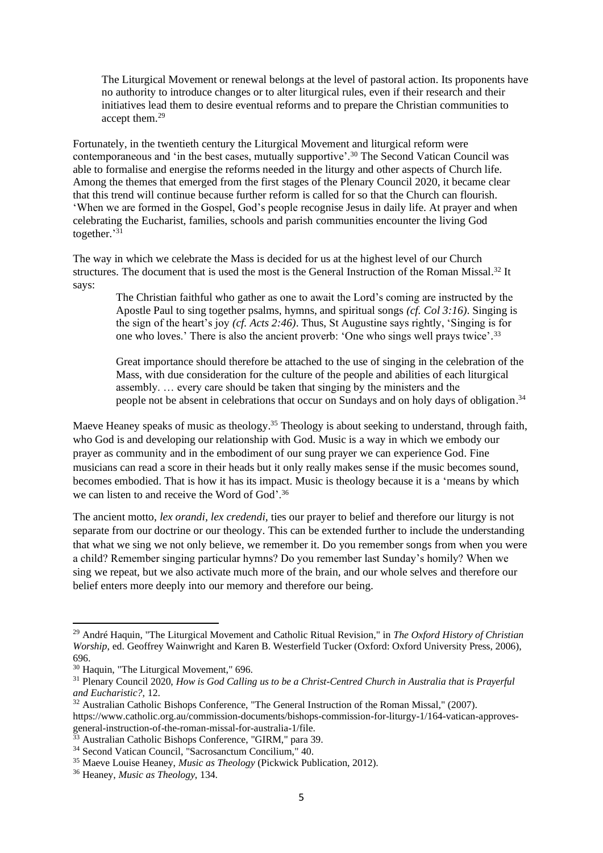The Liturgical Movement or renewal belongs at the level of pastoral action. Its proponents have no authority to introduce changes or to alter liturgical rules, even if their research and their initiatives lead them to desire eventual reforms and to prepare the Christian communities to accept them.<sup>29</sup>

Fortunately, in the twentieth century the Liturgical Movement and liturgical reform were contemporaneous and 'in the best cases, mutually supportive'.<sup>30</sup> The Second Vatican Council was able to formalise and energise the reforms needed in the liturgy and other aspects of Church life. Among the themes that emerged from the first stages of the Plenary Council 2020, it became clear that this trend will continue because further reform is called for so that the Church can flourish. 'When we are formed in the Gospel, God's people recognise Jesus in daily life. At prayer and when celebrating the Eucharist, families, schools and parish communities encounter the living God together.' 31

The way in which we celebrate the Mass is decided for us at the highest level of our Church structures. The document that is used the most is the General Instruction of the Roman Missal.<sup>32</sup> It says:

The Christian faithful who gather as one to await the Lord's coming are instructed by the Apostle Paul to sing together psalms, hymns, and spiritual songs *(cf. Col 3:16)*. Singing is the sign of the heart's joy *(cf. Acts 2:46)*. Thus, St Augustine says rightly, 'Singing is for one who loves.' There is also the ancient proverb: 'One who sings well prays twice'.<sup>33</sup>

Great importance should therefore be attached to the use of singing in the celebration of the Mass, with due consideration for the culture of the people and abilities of each liturgical assembly. … every care should be taken that singing by the ministers and the people not be absent in celebrations that occur on Sundays and on holy days of obligation.<sup>34</sup>

Maeve Heaney speaks of music as theology.<sup>35</sup> Theology is about seeking to understand, through faith, who God is and developing our relationship with God. Music is a way in which we embody our prayer as community and in the embodiment of our sung prayer we can experience God. Fine musicians can read a score in their heads but it only really makes sense if the music becomes sound, becomes embodied. That is how it has its impact. Music is theology because it is a 'means by which we can listen to and receive the Word of God'.<sup>36</sup>

The ancient motto, *lex orandi, lex credendi,* ties our prayer to belief and therefore our liturgy is not separate from our doctrine or our theology. This can be extended further to include the understanding that what we sing we not only believe, we remember it. Do you remember songs from when you were a child? Remember singing particular hymns? Do you remember last Sunday's homily? When we sing we repeat, but we also activate much more of the brain, and our whole selves and therefore our belief enters more deeply into our memory and therefore our being.

<sup>29</sup> André Haquin, "The Liturgical Movement and Catholic Ritual Revision," in *The Oxford History of Christian Worship*, ed. Geoffrey Wainwright and Karen B. Westerfield Tucker (Oxford: Oxford University Press, 2006), 696.

<sup>30</sup> Haquin, "The Liturgical Movement," 696.

<sup>31</sup> Plenary Council 2020, *How is God Calling us to be a Christ-Centred Church in Australia that is Prayerful and Eucharistic?*, 12.

<sup>&</sup>lt;sup>32</sup> Australian Catholic Bishops Conference, "The General Instruction of the Roman Missal," (2007). https://www.catholic.org.au/commission-documents/bishops-commission-for-liturgy-1/164-vatican-approvesgeneral-instruction-of-the-roman-missal-for-australia-1/file.

<sup>33</sup> Australian Catholic Bishops Conference, "GIRM," para 39.

<sup>34</sup> Second Vatican Council, "Sacrosanctum Concilium," 40.

<sup>35</sup> Maeve Louise Heaney, *Music as Theology* (Pickwick Publication, 2012).

<sup>36</sup> Heaney, *Music as Theology*, 134.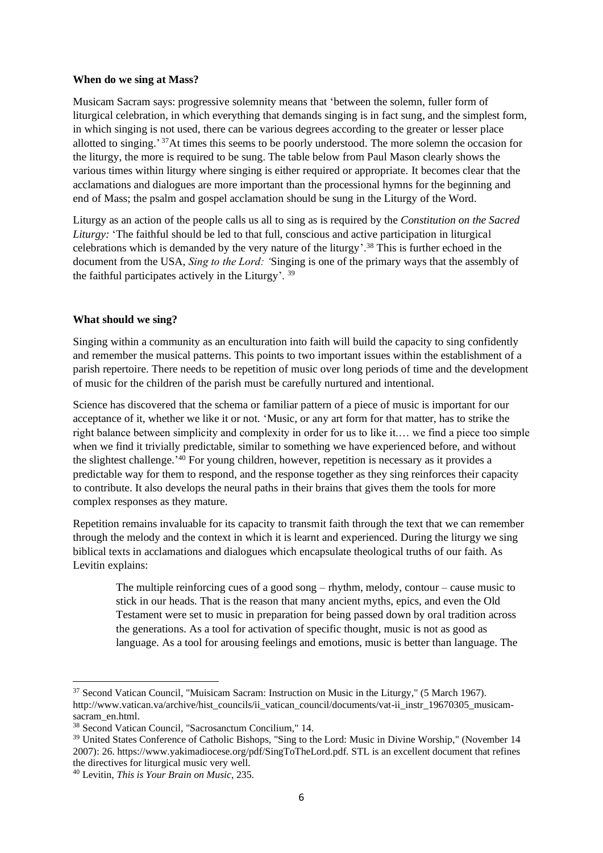#### **When do we sing at Mass?**

Musicam Sacram says: progressive solemnity means that 'between the solemn, fuller form of liturgical celebration, in which everything that demands singing is in fact sung, and the simplest form, in which singing is not used, there can be various degrees according to the greater or lesser place allotted to singing.' <sup>37</sup>At times this seems to be poorly understood. The more solemn the occasion for the liturgy, the more is required to be sung. The table below from Paul Mason clearly shows the various times within liturgy where singing is either required or appropriate. It becomes clear that the acclamations and dialogues are more important than the processional hymns for the beginning and end of Mass; the psalm and gospel acclamation should be sung in the Liturgy of the Word.

Liturgy as an action of the people calls us all to sing as is required by the *Constitution on the Sacred Liturgy:* 'The faithful should be led to that full, conscious and active participation in liturgical celebrations which is demanded by the very nature of the liturgy'.<sup>38</sup> This is further echoed in the document from the USA, *Sing to the Lord: '*Singing is one of the primary ways that the assembly of the faithful participates actively in the Liturgy'. <sup>39</sup>

## **What should we sing?**

Singing within a community as an enculturation into faith will build the capacity to sing confidently and remember the musical patterns. This points to two important issues within the establishment of a parish repertoire. There needs to be repetition of music over long periods of time and the development of music for the children of the parish must be carefully nurtured and intentional.

Science has discovered that the schema or familiar pattern of a piece of music is important for our acceptance of it, whether we like it or not. 'Music, or any art form for that matter, has to strike the right balance between simplicity and complexity in order for us to like it.… we find a piece too simple when we find it trivially predictable, similar to something we have experienced before, and without the slightest challenge.<sup>'40</sup> For young children, however, repetition is necessary as it provides a predictable way for them to respond, and the response together as they sing reinforces their capacity to contribute. It also develops the neural paths in their brains that gives them the tools for more complex responses as they mature.

Repetition remains invaluable for its capacity to transmit faith through the text that we can remember through the melody and the context in which it is learnt and experienced. During the liturgy we sing biblical texts in acclamations and dialogues which encapsulate theological truths of our faith. As Levitin explains:

The multiple reinforcing cues of a good song – rhythm, melody, contour – cause music to stick in our heads. That is the reason that many ancient myths, epics, and even the Old Testament were set to music in preparation for being passed down by oral tradition across the generations. As a tool for activation of specific thought, music is not as good as language. As a tool for arousing feelings and emotions, music is better than language. The

<sup>37</sup> Second Vatican Council, "Muisicam Sacram: Instruction on Music in the Liturgy," (5 March 1967). http://www.vatican.va/archive/hist\_councils/ii\_vatican\_council/documents/vat-ii\_instr\_19670305\_musicamsacram\_en.html.

<sup>38</sup> Second Vatican Council, "Sacrosanctum Concilium," 14.

<sup>&</sup>lt;sup>39</sup> United States Conference of Catholic Bishops, "Sing to the Lord: Music in Divine Worship," (November 14 2007): 26. https://www.yakimadiocese.org/pdf/SingToTheLord.pdf. STL is an excellent document that refines the directives for liturgical music very well.

<sup>40</sup> Levitin, *This is Your Brain on Music*, 235.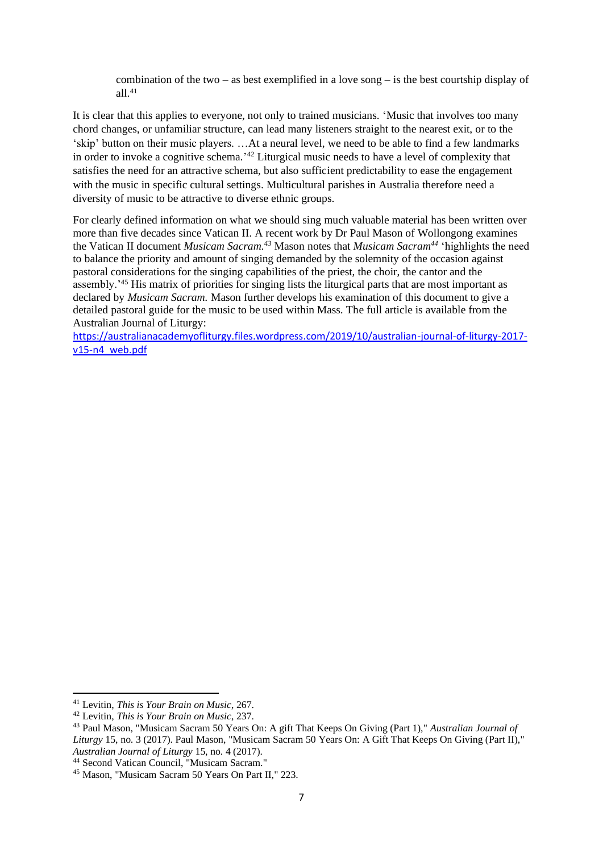combination of the two – as best exemplified in a love song – is the best courtship display of all. 41

It is clear that this applies to everyone, not only to trained musicians. 'Music that involves too many chord changes, or unfamiliar structure, can lead many listeners straight to the nearest exit, or to the 'skip' button on their music players. …At a neural level, we need to be able to find a few landmarks in order to invoke a cognitive schema.' <sup>42</sup> Liturgical music needs to have a level of complexity that satisfies the need for an attractive schema, but also sufficient predictability to ease the engagement with the music in specific cultural settings. Multicultural parishes in Australia therefore need a diversity of music to be attractive to diverse ethnic groups.

For clearly defined information on what we should sing much valuable material has been written over more than five decades since Vatican II. A recent work by Dr Paul Mason of Wollongong examines the Vatican II document *Musicam Sacram.<sup>43</sup>* Mason notes that *Musicam Sacram<sup>44</sup>* 'highlights the need to balance the priority and amount of singing demanded by the solemnity of the occasion against pastoral considerations for the singing capabilities of the priest, the choir, the cantor and the assembly.'<sup>45</sup> His matrix of priorities for singing lists the liturgical parts that are most important as declared by *Musicam Sacram.* Mason further develops his examination of this document to give a detailed pastoral guide for the music to be used within Mass. The full article is available from the Australian Journal of Liturgy:

[https://australianacademyofliturgy.files.wordpress.com/2019/10/australian-journal-of-liturgy-2017](https://australianacademyofliturgy.files.wordpress.com/2019/10/australian-journal-of-liturgy-2017-v15-n4_web.pdf) [v15-n4\\_web.pdf](https://australianacademyofliturgy.files.wordpress.com/2019/10/australian-journal-of-liturgy-2017-v15-n4_web.pdf)

<sup>41</sup> Levitin, *This is Your Brain on Music*, 267.

<sup>42</sup> Levitin, *This is Your Brain on Music*, 237.

<sup>43</sup> Paul Mason, "Musicam Sacram 50 Years On: A gift That Keeps On Giving (Part 1)," *Australian Journal of Liturgy* 15, no. 3 (2017). Paul Mason, "Musicam Sacram 50 Years On: A Gift That Keeps On Giving (Part II)," *Australian Journal of Liturgy* 15, no. 4 (2017).

<sup>44</sup> Second Vatican Council, "Musicam Sacram."

<sup>45</sup> Mason, "Musicam Sacram 50 Years On Part II," 223.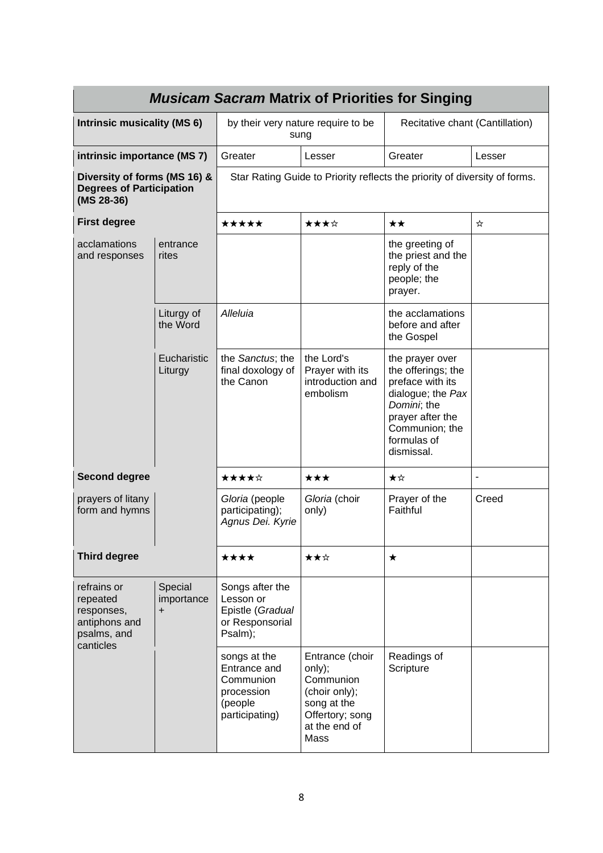| <b>Musicam Sacram Matrix of Priorities for Singing</b>                             |                                    |                                                                                      |                                                                                                                    |                                                                                                                                                                  |                          |
|------------------------------------------------------------------------------------|------------------------------------|--------------------------------------------------------------------------------------|--------------------------------------------------------------------------------------------------------------------|------------------------------------------------------------------------------------------------------------------------------------------------------------------|--------------------------|
| <b>Intrinsic musicality (MS 6)</b>                                                 |                                    | by their very nature require to be<br>sung                                           |                                                                                                                    | Recitative chant (Cantillation)                                                                                                                                  |                          |
| intrinsic importance (MS 7)                                                        |                                    | Greater                                                                              | Lesser                                                                                                             | Greater                                                                                                                                                          | Lesser                   |
| Diversity of forms (MS 16) &<br><b>Degrees of Participation</b><br>$(MS 28-36)$    |                                    | Star Rating Guide to Priority reflects the priority of diversity of forms.           |                                                                                                                    |                                                                                                                                                                  |                          |
| <b>First degree</b>                                                                |                                    | *****                                                                                | ★★★☆                                                                                                               | ★★                                                                                                                                                               | ☆                        |
| acclamations<br>and responses                                                      | entrance<br>rites                  |                                                                                      |                                                                                                                    | the greeting of<br>the priest and the<br>reply of the<br>people; the<br>prayer.                                                                                  |                          |
|                                                                                    | Liturgy of<br>the Word             | Alleluia                                                                             |                                                                                                                    | the acclamations<br>before and after<br>the Gospel                                                                                                               |                          |
|                                                                                    | Eucharistic<br>Liturgy             | the Sanctus; the<br>final doxology of<br>the Canon                                   | the Lord's<br>Prayer with its<br>introduction and<br>embolism                                                      | the prayer over<br>the offerings; the<br>preface with its<br>dialogue; the Pax<br>Domini; the<br>prayer after the<br>Communion; the<br>formulas of<br>dismissal. |                          |
| <b>Second degree</b>                                                               |                                    | ★★★★☆                                                                                | $\star\star\star$                                                                                                  | ★☆                                                                                                                                                               | $\overline{\phantom{a}}$ |
| prayers of litany<br>form and hymns                                                |                                    | Gloria (people<br>participating);<br>Agnus Dei. Kyrie                                | Gloria (choir<br>only)                                                                                             | Prayer of the<br>Faithful                                                                                                                                        | Creed                    |
| <b>Third degree</b>                                                                |                                    | ★★★★                                                                                 | ★★☆                                                                                                                | ★                                                                                                                                                                |                          |
| refrains or<br>repeated<br>responses,<br>antiphons and<br>psalms, and<br>canticles | Special<br>importance<br>$\ddot{}$ | Songs after the<br>Lesson or<br>Epistle (Gradual<br>or Responsorial<br>Psalm);       |                                                                                                                    |                                                                                                                                                                  |                          |
|                                                                                    |                                    | songs at the<br>Entrance and<br>Communion<br>procession<br>(people<br>participating) | Entrance (choir<br>only);<br>Communion<br>(choir only);<br>song at the<br>Offertory; song<br>at the end of<br>Mass | Readings of<br>Scripture                                                                                                                                         |                          |